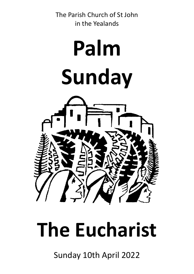The Parish Church of St John in the Yealands



# **The Eucharist**

Sunday 10th April 2022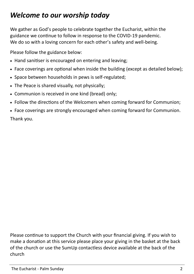# *Welcome to our worship today*

We gather as God's people to celebrate together the Eucharist, within the guidance we continue to follow in response to the COVID-19 pandemic. We do so with a loving concern for each other's safety and well-being.

Please follow the guidance below:

- Hand sanitiser is encouraged on entering and leaving;
- Face coverings are optional when inside the building (except as detailed below);
- Space between households in pews is self-regulated;
- The Peace is shared visually, not physically;
- Communion is received in one kind (bread) only;
- Follow the directions of the Welcomers when coming forward for Communion;
- Face coverings are strongly encouraged when coming forward for Communion. Thank you.

Please continue to support the Church with your financial giving. If you wish to make a donation at this service please place your giving in the basket at the back of the church or use the SumUp contactless device available at the back of the church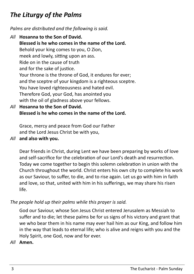# *The Liturgy of the Palms*

*Palms are distributed and the following is said.*

*All* **Hosanna to the Son of David. Blessed is he who comes in the name of the Lord.** Behold your king comes to you, O Zion, meek and lowly, sitting upon an ass. Ride on in the cause of truth and for the sake of justice. Your throne is the throne of God, it endures for ever; and the sceptre of your kingdom is a righteous sceptre. You have loved righteousness and hated evil. Therefore God, your God, has anointed you with the oil of gladness above your fellows.

*All* **Hosanna to the Son of David. Blessed is he who comes in the name of the Lord.**

Grace, mercy and peace from God our Father and the Lord Jesus Christ be with you,

*All* **and also with you.** 

Dear friends in Christ, during Lent we have been preparing by works of love and self-sacrifice for the celebration of our Lord's death and resurrection. Today we come together to begin this solemn celebration in union with the Church throughout the world. Christ enters his own city to complete his work as our Saviour, to suffer, to die, and to rise again. Let us go with him in faith and love, so that, united with him in his sufferings, we may share his risen life.

# *The people hold up their palms while this prayer is said.*

God our Saviour, whose Son Jesus Christ entered Jerusalem as Messiah to suffer and to die; let these palms be for us signs of his victory and grant that we who bear them in his name may ever hail him as our King, and follow him in the way that leads to eternal life; who is alive and reigns with you and the Holy Spirit, one God, now and for ever.

#### *All* **Amen.**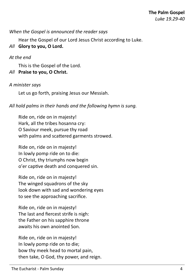*Luke 19.29-40*

#### *When the Gospel is announced the reader says*

Hear the Gospel of our Lord Jesus Christ according to Luke.

## *All* **Glory to you, O Lord.**

#### *At the end*

This is the Gospel of the Lord. *All* **Praise to you, O Christ.**

#### *A minister says*

Let us go forth, praising Jesus our Messiah.

*All hold palms in their hands and the following hymn is sung.*

Ride on, ride on in majesty! Hark, all the tribes hosanna cry: O Saviour meek, pursue thy road with palms and scattered garments strowed.

Ride on, ride on in majesty! In lowly pomp ride on to die: O Christ, thy triumphs now begin o'er captive death and conquered sin.

Ride on, ride on in majesty! The winged squadrons of the sky look down with sad and wondering eyes to see the approaching sacrifice.

Ride on, ride on in majesty! The last and fiercest strife is nigh: the Father on his sapphire throne awaits his own anointed Son.

Ride on, ride on in majesty! In lowly pomp ride on to die; bow thy meek head to mortal pain, then take, O God, thy power, and reign.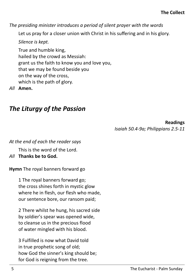*The presiding minister introduces a period of silent prayer with the words* 

Let us pray for a closer union with Christ in his suffering and in his glory.

*Silence is kept.*

True and humble king, hailed by the crowd as Messiah: grant us the faith to know you and love you, that we may be found beside you on the way of the cross, which is the path of glory.

*All* **Amen.**

# *The Liturgy of the Passion*

# **Readings**

*Isaiah 50.4-9a; Philippians 2.5-11*

*At the end of each the reader says*

This is the word of the Lord.

# *All* **Thanks be to God.**

**Hymn** The royal banners forward go

1 The royal banners forward go; the cross shines forth in mystic glow where he in flesh, our flesh who made, our sentence bore, our ransom paid;

2 There whilst he hung, his sacred side by soldier's spear was opened wide, to cleanse us in the precious flood of water mingled with his blood.

3 Fulfilled is now what David told in true prophetic song of old; how God the sinner's king should be; for God is reigning from the tree.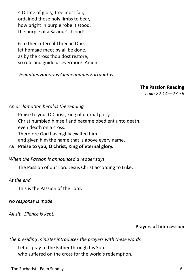4 O tree of glory, tree most fair, ordained those holy limbs to bear, how bright in purple robe it stood, the purple of a Saviour's blood!

6 To thee, eternal Three in One, let homage meet by all be done, as by the cross thou dost restore, so rule and guide us evermore. Amen.

*Venantius Honorius Clementianus Fortunatus*

**The Passion Reading**

*Luke 22.14—23.56*

# *An acclamation heralds the reading*

Praise to you, O Christ, king of eternal glory. Christ humbled himself and became obedient unto death, even death on a cross. Therefore God has highly exalted him and given him the name that is above every name.

# *All* **Praise to you, O Christ, King of eternal glory.**

#### *When the Passion is announced a reader says*

The Passion of our Lord Jesus Christ according to Luke.

#### *At the end*

This is the Passion of the Lord.

*No response is made.* 

*All sit. Silence is kept.* 

# **Prayers of Intercession**

#### *The presiding minister introduces the prayers with these words*

Let us pray to the Father through his Son who suffered on the cross for the world's redemption.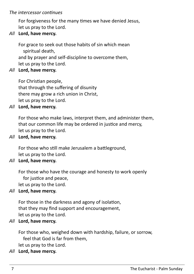## *The intercessor continues*

For forgiveness for the many times we have denied Jesus, let us pray to the Lord.

# *All* **Lord, have mercy.**

For grace to seek out those habits of sin which mean spiritual death, and by prayer and self-discipline to overcome them, let us pray to the Lord.

#### *All* **Lord, have mercy.**

For Christian people, that through the suffering of disunity there may grow a rich union in Christ, let us pray to the Lord.

#### *All* **Lord, have mercy.**

For those who make laws, interpret them, and administer them, that our common life may be ordered in justice and mercy, let us pray to the Lord.

#### *All* **Lord, have mercy.**

For those who still make Jerusalem a battleground, let us pray to the Lord.

#### *All* **Lord, have mercy.**

For those who have the courage and honesty to work openly for justice and peace,

let us pray to the Lord.

#### *All* **Lord, have mercy.**

For those in the darkness and agony of isolation, that they may find support and encouragement, let us pray to the Lord.

#### *All* **Lord, have mercy.**

For those who, weighed down with hardship, failure, or sorrow, feel that God is far from them,

let us pray to the Lord.

#### *All* **Lord, have mercy.**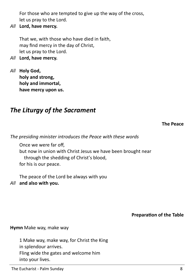For those who are tempted to give up the way of the cross, let us pray to the Lord.

*All* **Lord, have mercy.**

That we, with those who have died in faith, may find mercy in the day of Christ, let us pray to the Lord.

- *All* **Lord, have mercy.**
- *All* **Holy God, holy and strong, holy and immortal, have mercy upon us.**

# *The Liturgy of the Sacrament*

**The Peace**

*The presiding minister introduces the Peace with these words*

Once we were far off, but now in union with Christ Jesus we have been brought near through the shedding of Christ's blood, for his is our peace.

The peace of the Lord be always with you *All* **and also with you.**

**Preparation of the Table**

#### **Hymn** Make way, make way

1 Make way, make way, for Christ the King in splendour arrives. Fling wide the gates and welcome him into your lives.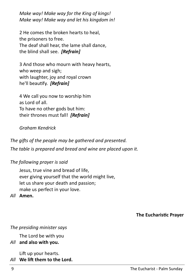*Make way! Make way for the King of kings! Make way! Make way and let his kingdom in!*

2 He comes the broken hearts to heal, the prisoners to free. The deaf shall hear, the lame shall dance, the blind shall see. *[Refrain]*

3 And those who mourn with heavy hearts, who weep and sigh; with laughter, joy and royal crown he'll beautify. *[Refrain]*

4 We call you now to worship him as Lord of all. To have no other gods but him: their thrones must fall! *[Refrain]*

# *Graham Kendrick*

*The gifts of the people may be gathered and presented. The table is prepared and bread and wine are placed upon it.*

# *The following prayer is said*

Jesus, true vine and bread of life, ever giving yourself that the world might live, let us share your death and passion; make us perfect in your love.

#### *All* **Amen.**

# **The Eucharistic Prayer**

#### *The presiding minister says*

The Lord be with you

# *All* **and also with you.**

Lift up your hearts.

*All* **We lift them to the Lord.**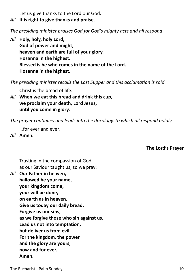Let us give thanks to the Lord our God.

*All* **It is right to give thanks and praise.**

# *The presiding minister praises God for God's mighty acts and all respond*

*All* **Holy, holy, holy Lord, God of power and might, heaven and earth are full of your glory. Hosanna in the highest. Blessed is he who comes in the name of the Lord. Hosanna in the highest.**

*The presiding minister recalls the Last Supper and this acclamation is said*

Christ is the bread of life:

*All* **When we eat this bread and drink this cup, we proclaim your death, Lord Jesus, until you come in glory.** 

*The prayer continues and leads into the doxology, to which all respond boldly*

…for ever and ever.

*All* **Amen.** 

# **The Lord's Prayer**

Trusting in the compassion of God, as our Saviour taught us, so we pray:

*All* **Our Father in heaven, hallowed be your name, your kingdom come, your will be done, on earth as in heaven. Give us today our daily bread. Forgive us our sins, as we forgive those who sin against us. Lead us not into temptation, but deliver us from evil. For the kingdom, the power and the glory are yours, now and for ever. Amen.**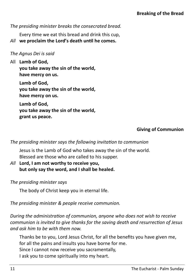*The presiding minister breaks the consecrated bread.*

Every time we eat this bread and drink this cup,

*All* **we proclaim the Lord's death until he comes.** 

# *The Agnus Dei is said*

All **Lamb of God,** 

**you take away the sin of the world, have mercy on us.** 

**Lamb of God, you take away the sin of the world, have mercy on us.** 

**Lamb of God, you take away the sin of the world, grant us peace.**

# **Giving of Communion**

*The presiding minister says the following invitation to communion*

Jesus is the Lamb of God who takes away the sin of the world. Blessed are those who are called to his supper.

*All* **Lord, I am not worthy to receive you, but only say the word, and I shall be healed.**

*The presiding minister says* 

The body of Christ keep you in eternal life.

*The presiding minister & people receive communion.*

*During the administration of communion, anyone who does not wish to receive communion is invited to give thanks for the saving death and resurrection of Jesus and ask him to be with them now.* 

Thanks be to you, Lord Jesus Christ, for all the benefits you have given me, for all the pains and insults you have borne for me. Since I cannot now receive you sacramentally, I ask you to come spiritually into my heart.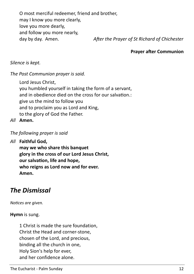O most merciful redeemer, friend and brother, may I know you more clearly, love you more dearly, and follow you more nearly, day by day. Amen. *After the Prayer of St Richard of Chichester*

#### **Prayer after Communion**

*Silence is kept.*

*The Post Communion prayer is said.*

Lord Jesus Christ, you humbled yourself in taking the form of a servant, and in obedience died on the cross for our salvation.: give us the mind to follow you and to proclaim you as Lord and King, to the glory of God the Father.

*All* **Amen.**

#### *The following prayer is said*

*All* **Faithful God,**

**may we who share this banquet glory in the cross of our Lord Jesus Christ, our salvation, life and hope, who reigns as Lord now and for ever. Amen.** 

# *The Dismissal*

#### *Notices are given.*

#### **Hymn** is sung.

1 Christ is made the sure foundation, Christ the Head and corner-stone, chosen of the Lord, and precious, binding all the church in one, Holy Sion's help for ever, and her confidence alone.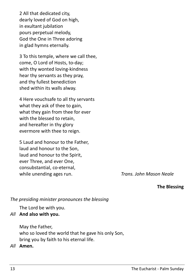2 All that dedicated city, dearly loved of God on high, in exultant jubilation pours perpetual melody, God the One in Three adoring in glad hymns eternally.

3 To this temple, where we call thee, come, O Lord of Hosts, to-day; with thy wonted loving-kindness hear thy servants as they pray, and thy fullest benediction shed within its walls alway.

4 Here vouchsafe to all thy servants what they ask of thee to gain, what they gain from thee for ever with the blessed to retain, and hereafter in thy glory evermore with thee to reign.

5 Laud and honour to the Father, laud and honour to the Son, laud and honour to the Spirit, ever Three, and ever One, consubstantial, co-eternal, while unending ages run. *Trans. John Mason Neale*

# **The Blessing**

#### *The presiding minister pronounces the blessing*

The Lord be with you.

# *All* **And also with you.**

May the Father, who so loved the world that he gave his only Son, bring you by faith to his eternal life.

*All* **Amen.**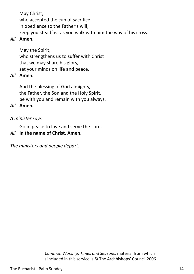May Christ, who accepted the cup of sacrifice in obedience to the Father's will, keep you steadfast as you walk with him the way of his cross.

#### *All* **Amen.**

May the Spirit, who strengthens us to suffer with Christ that we may share his glory, set your minds on life and peace.

## *All* **Amen.**

And the blessing of God almighty, the Father, the Son and the Holy Spirit, be with you and remain with you always.

#### *All* **Amen.**

## *A minister says*

Go in peace to love and serve the Lord.

## *All* **In the name of Christ. Amen.**

*The ministers and people depart.*

*Common Worship: Times and Seasons,* material from which is included in this service is © The Archbishops' Council 2006